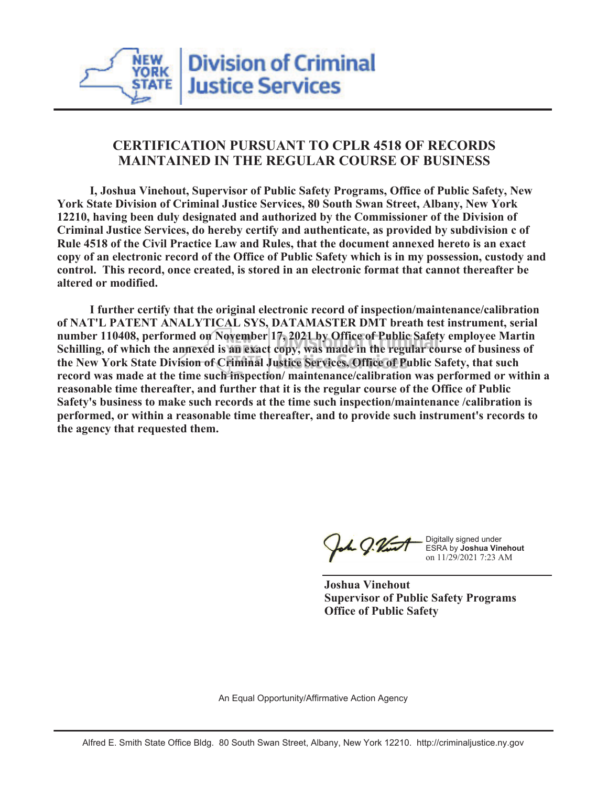# **CERTIFICATION PURSUANT TO CPLR 4518 OF RECORDS MAINTAINED IN THE REGULAR COURSE OF BUSINESS**

 **I, Joshua Vinehout, Supervisor of Public Safety Programs, Office of Public Safety, New York State Division of Criminal Justice Services, 80 South Swan Street, Albany, New York 12210, having been duly designated and authorized by the Commissioner of the Division of Criminal Justice Services, do hereby certify and authenticate, as provided by subdivision c of Rule 4518 of the Civil Practice Law and Rules, that the document annexed hereto is an exact copy of an electronic record of the Office of Public Safety which is in my possession, custody and control. This record, once created, is stored in an electronic format that cannot thereafter be altered or modified.**

 **I further certify that the original electronic record of inspection/maintenance/calibration of NAT'L PATENT ANALYTICAL SYS, DATAMASTER DMT breath test instrument, serial number 110408, performed on November 17, 2021 by Office of Public Safety employee Martin Schilling, of which the annexed is an exact copy, was made in the regular course of business of the New York State Division of Criminal Justice Services, Office of Public Safety, that such record was made at the time such inspection/ maintenance/calibration was performed or within a reasonable time thereafter, and further that it is the regular course of the Office of Public Safety's business to make such records at the time such inspection/maintenance /calibration is performed, or within a reasonable time thereafter, and to provide such instrument's records to the agency that requested them.**

h J.Vint

Digitally signed under ESRA by **Joshua Vinehout** on 11/29/2021 7:23 AM

**Joshua Vinehout Supervisor of Public Safety Programs Office of Public Safety**

An Equal Opportunity/Affirmative Action Agency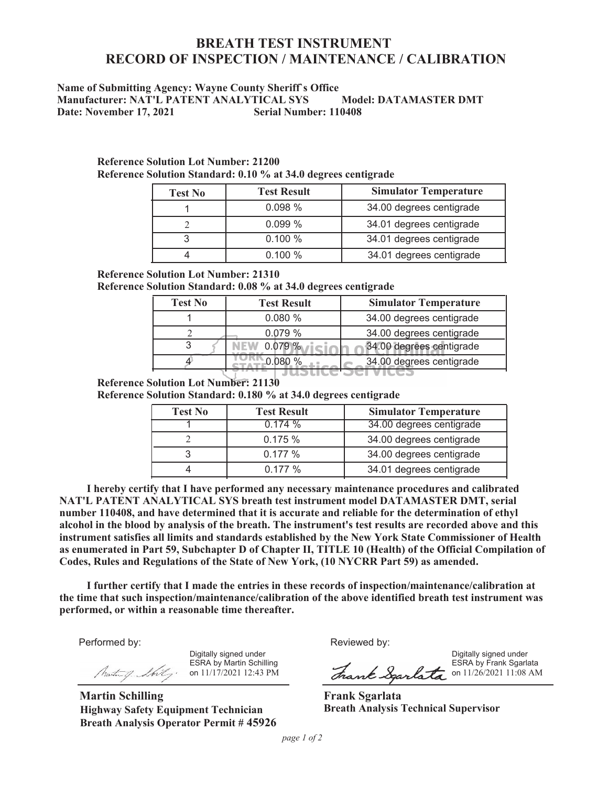# **BREATH TEST INSTRUMENT RECORD OF INSPECTION / MAINTENANCE / CALIBRATION**

### **Name of Submitting Agency: Wayne County Sheriff`s Office Manufacturer: NAT'L PATENT ANALYTICAL SYS Model: DATAMASTER DMT Date: November 17, 2021 Serial Number: 110408**

| <b>Test No</b> | <b>Test Result</b> | <b>Simulator Temperature</b> |  |  |  |
|----------------|--------------------|------------------------------|--|--|--|
|                | 0.098%             | 34.00 degrees centigrade     |  |  |  |
|                | 0.099%             | 34.01 degrees centigrade     |  |  |  |
|                | 0.100%             | 34.01 degrees centigrade     |  |  |  |
|                | 0.100%             | 34.01 degrees centigrade     |  |  |  |

**Reference Solution Lot Number: 21200 Reference Solution Standard: 0.10 % at 34.0 degrees centigrade**

### **Reference Solution Lot Number: 21310**

**Reference Solution Standard: 0.08 % at 34.0 degrees centigrade**

| <b>Test No</b> | <b>Test Result</b> | <b>Simulator Temperature</b> |  |  |  |  |
|----------------|--------------------|------------------------------|--|--|--|--|
|                | 0.080%             | 34.00 degrees centigrade     |  |  |  |  |
|                | 0.079%             | 34.00 degrees centigrade     |  |  |  |  |
|                | $0.079\%$          | 34.00 degrees centigrade     |  |  |  |  |
|                |                    | 34.00 degrees centigrade     |  |  |  |  |
|                |                    |                              |  |  |  |  |

### **Reference Solution Lot Number: 21130**

**Reference Solution Standard: 0.180 % at 34.0 degrees centigrade**

| <b>Test No</b> | <b>Test Result</b> | <b>Simulator Temperature</b> |  |  |  |  |
|----------------|--------------------|------------------------------|--|--|--|--|
|                | 0.174%             | 34.00 degrees centigrade     |  |  |  |  |
|                | 0.175%             | 34.00 degrees centigrade     |  |  |  |  |
|                | 0.177%             | 34.00 degrees centigrade     |  |  |  |  |
|                | 0.177%             | 34.01 degrees centigrade     |  |  |  |  |

 **I hereby certify that I have performed any necessary maintenance procedures and calibrated NAT'L PATENT ANALYTICAL SYS breath test instrument model DATAMASTER DMT, serial number 110408, and have determined that it is accurate and reliable for the determination of ethyl alcohol in the blood by analysis of the breath. The instrument's test results are recorded above and this instrument satisfies all limits and standards established by the New York State Commissioner of Health as enumerated in Part 59, Subchapter D of Chapter II, TITLE 10 (Health) of the Official Compilation of Codes, Rules and Regulations of the State of New York, (10 NYCRR Part 59) as amended.**

 **I further certify that I made the entries in these records of inspection/maintenance/calibration at the time that such inspection/maintenance/calibration of the above identified breath test instrument was performed, or within a reasonable time thereafter.**

Performed by:

Digitally signed under ESRA by Martin Schilling on 11/17/2021 12:43 PM

**Martin Schilling Highway Safety Equipment Technician Breath Analysis Operator Permit # 45926**

Reviewed by:

Digitally signed under ESRA by Frank Sgarlata Shank Sparlata on 11/26/2021 11:08 AM

**Frank Sgarlata Breath Analysis Technical Supervisor**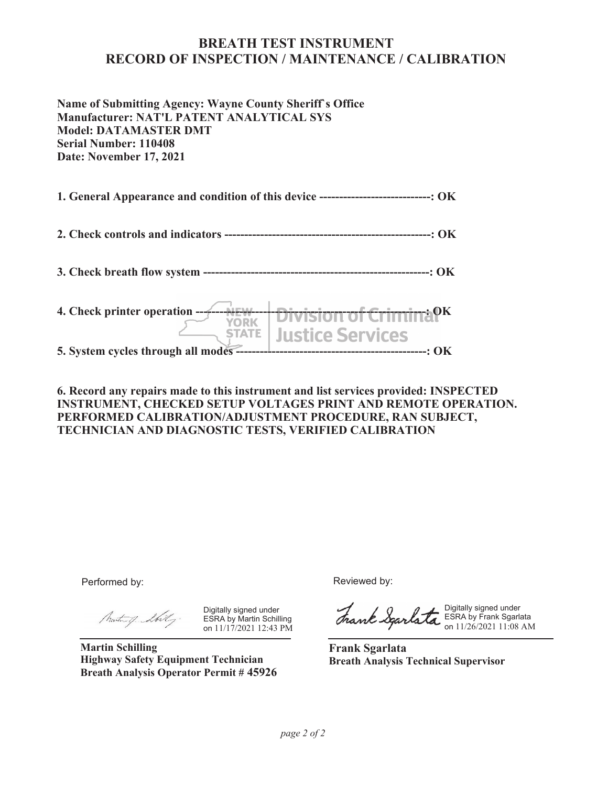## **BREATH TEST INSTRUMENT RECORD OF INSPECTION / MAINTENANCE / CALIBRATION**

**Name of Submitting Agency: Wayne County Sheriff`s Office Manufacturer: NAT'L PATENT ANALYTICAL SYS Model: DATAMASTER DMT Serial Number: 110408 Date: November 17, 2021**

**1. General Appearance and condition of this device ----------------------------: OK**

**2. Check controls and indicators ----------------------------------------------------: OK**

**3. Check breath flow system ---------------------------------------------------------: OK**

**4. Check printer operation ----------------------------------------------------------: OK Justice Services STATE 5. System cycles through all modes ------------------------------------------------: OK**

**6. Record any repairs made to this instrument and list services provided: INSPECTED INSTRUMENT, CHECKED SETUP VOLTAGES PRINT AND REMOTE OPERATION. PERFORMED CALIBRATION/ADJUSTMENT PROCEDURE, RAN SUBJECT, TECHNICIAN AND DIAGNOSTIC TESTS, VERIFIED CALIBRATION**

Performed by:

Martin of Shilly.

Digitally signed under ESRA by Martin Schilling on 11/17/2021 12:43 PM

**Martin Schilling Highway Safety Equipment Technician Breath Analysis Operator Permit # 45926** Reviewed by:

Digitally signed under ESRA by Frank Sgarlata on 11/26/2021 11:08 AM

**Frank Sgarlata Breath Analysis Technical Supervisor**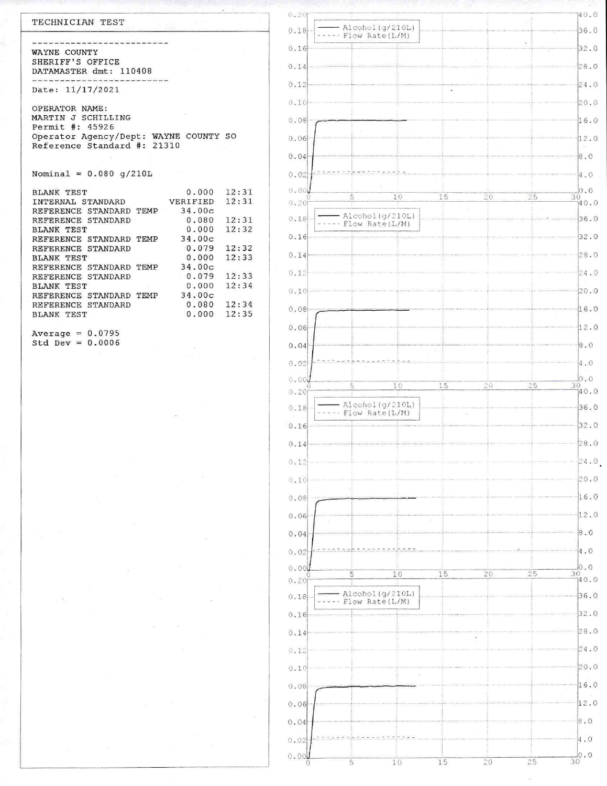| TECHNICIAN TEST                       |          |       | 0.20     |                                                                                                                                                                                                                                  |
|---------------------------------------|----------|-------|----------|----------------------------------------------------------------------------------------------------------------------------------------------------------------------------------------------------------------------------------|
|                                       |          |       | $0.18 -$ | $-$ Alcohol (g/210L)<br>----- Flow Rate(L/M)                                                                                                                                                                                     |
|                                       |          |       | 0.16     |                                                                                                                                                                                                                                  |
| WAYNE COUNTY                          |          |       |          |                                                                                                                                                                                                                                  |
| SHERIFF'S OFFICE                      |          |       |          |                                                                                                                                                                                                                                  |
| DATAMASTER dmt: 110408                |          |       |          |                                                                                                                                                                                                                                  |
| Date: 11/17/2021                      |          |       | 0.12     |                                                                                                                                                                                                                                  |
|                                       |          |       |          |                                                                                                                                                                                                                                  |
| OPERATOR NAME:                        |          |       | 0.10     |                                                                                                                                                                                                                                  |
| MARTIN J SCHILLING                    |          |       | 0.08     |                                                                                                                                                                                                                                  |
| Permit #: 45926                       |          |       |          |                                                                                                                                                                                                                                  |
| Operator Agency/Dept: WAYNE COUNTY SO |          |       | $0.06 -$ |                                                                                                                                                                                                                                  |
| Reference Standard #: 21310           |          |       |          |                                                                                                                                                                                                                                  |
|                                       |          |       | 0.04     |                                                                                                                                                                                                                                  |
|                                       |          |       |          |                                                                                                                                                                                                                                  |
| Nominal = $0.080$ q/210L              |          |       | 0.02     |                                                                                                                                                                                                                                  |
| <b>BLANK TEST</b>                     | 0.000    | 12:31 | 0.00     | 10                                                                                                                                                                                                                               |
| INTERNAL STANDARD                     | VERIFIED | 12:31 | 0.20     |                                                                                                                                                                                                                                  |
| REFERENCE STANDARD TEMP               | 34.00c   |       |          |                                                                                                                                                                                                                                  |
| REFERENCE STANDARD                    | 0.080    | 12:31 | $0.18 -$ | Alcohol(g/210L)<br>----- Flow Rate(L/M)                                                                                                                                                                                          |
| <b>BLANK TEST</b>                     | 0.000    | 12:32 |          |                                                                                                                                                                                                                                  |
| REFERENCE STANDARD TEMP               | 34.00c   |       | 0.16     |                                                                                                                                                                                                                                  |
| REFERENCE STANDARD                    | 0.079    | 12:32 |          |                                                                                                                                                                                                                                  |
| <b>BLANK TEST</b>                     | 0.000    | 12:33 |          | $0.14$ $\circ$ . The continuum continuum continuum continuum continuum continuum continuum continuum continuum continuum continuum continuum continuum continuum continuum continuum continuum continuum continuum continuum con |
| REFERENCE STANDARD TEMP               | 34.00c   |       | 0.12     |                                                                                                                                                                                                                                  |
| REFERENCE STANDARD                    | 0.079    | 12:33 |          |                                                                                                                                                                                                                                  |
| <b>BLANK TEST</b>                     | 0.000    | 12:34 |          | $(1, 10)$ . The continuous property of the continuous continuous continuous continuous continuous continuous continuous continuous continuous continuous continuous continuous continuous continuous continuous continuous co    |
| REFERENCE STANDARD TEMP               | 34.00c   |       |          |                                                                                                                                                                                                                                  |
| REFERENCE STANDARD                    | 0.080    | 12:34 | 0.08     |                                                                                                                                                                                                                                  |
| <b>BLANK TEST</b>                     | 0.000    | 12:35 |          |                                                                                                                                                                                                                                  |

 $\leq$ 

Average =  $0.0795$ <br>Std Dev =  $0.0006$ 

BLANK TEST

 $_{\alpha}$   $a_{\alpha}$ 

| 0.20          |                                   |    |    |    | 40.0                                                  |
|---------------|-----------------------------------|----|----|----|-------------------------------------------------------|
| 0.18          | Alcohol(g/210L)<br>Flow Rate(L/M) |    |    |    | 36.0                                                  |
| 0.16          |                                   |    |    |    | 32.0                                                  |
| 0.14          |                                   |    |    |    | 28.0                                                  |
| 0.12          |                                   |    |    |    | 24.0                                                  |
| 0.10          |                                   |    |    |    | 20.0                                                  |
| 0.08          |                                   |    |    |    | 16.0                                                  |
| 0.06          |                                   |    |    |    | 12.0                                                  |
| 0.04          |                                   |    |    |    | 8.0                                                   |
| 0.02          |                                   |    |    |    | 4.0                                                   |
| 0.00          |                                   |    |    |    | 0.0                                                   |
| 0.20          | 5<br>10                           | 15 | 20 | 25 | $\frac{30}{140}$ .0                                   |
| 0.18          | Alcohol(g/210L)<br>Flow Rate(L/M) |    |    |    | 36.0                                                  |
| 0.16          |                                   |    |    |    | 32.0                                                  |
| 0.14          |                                   |    |    |    | 28.0                                                  |
| 0.12          |                                   |    |    |    | 24.0                                                  |
| 0.10          |                                   |    |    |    | 20.0                                                  |
|               |                                   |    |    |    | 16.0                                                  |
| 0.08          |                                   |    |    |    |                                                       |
| 0.06          |                                   |    |    |    | 12.0                                                  |
| 0.04          |                                   |    |    |    | 8.0                                                   |
| 0.02          |                                   |    |    |    | 4.0                                                   |
| 0.001<br>0.20 | 5<br>10                           | 15 | 20 | 25 | $\overline{0}$ . $\overline{0}$<br>$\frac{30}{140.0}$ |
| 0.18          | Alcohol (g/210L)                  |    |    |    | 36.0                                                  |
| 0.16          | Flow Rate(L/M)                    |    |    |    | 32.0                                                  |
| 0.14          |                                   |    |    |    | 28.0                                                  |
|               |                                   |    |    |    |                                                       |
| 0.12          |                                   |    |    |    | 24.0                                                  |
| 0.10          |                                   |    |    |    | 20.0                                                  |
| 0.09          |                                   |    |    |    | 16.0                                                  |
| 0.06          |                                   |    |    |    | 12.0                                                  |
| 0.04          |                                   |    |    |    | 8.0                                                   |
| 0.02          |                                   |    |    |    | 4.0                                                   |
| 0.000         | 5<br>10                           | 15 | 20 | 25 | $\frac{10}{30}$ .0                                    |
| 0.20          |                                   |    |    |    | 140.0                                                 |
| 0.18          | Alcohol(g/210L)<br>Flow Rate(L/M) |    |    |    | $-36.0$                                               |
| 0.16          |                                   |    |    |    | 32.0                                                  |
| 0.14          |                                   |    |    |    | 28.0                                                  |
| 0.12          |                                   |    |    |    | 24.0                                                  |
| 0.10          |                                   |    |    |    | 20.0                                                  |
| 0.08          |                                   |    |    |    | 16.0                                                  |
| 0.06          |                                   |    |    |    | 12.0                                                  |
| 0.04          |                                   |    |    |    | 8.0                                                   |
| 0.02          |                                   |    |    |    | 4.0                                                   |
|               |                                   |    |    |    | $\frac{1}{30}$ .0                                     |

œ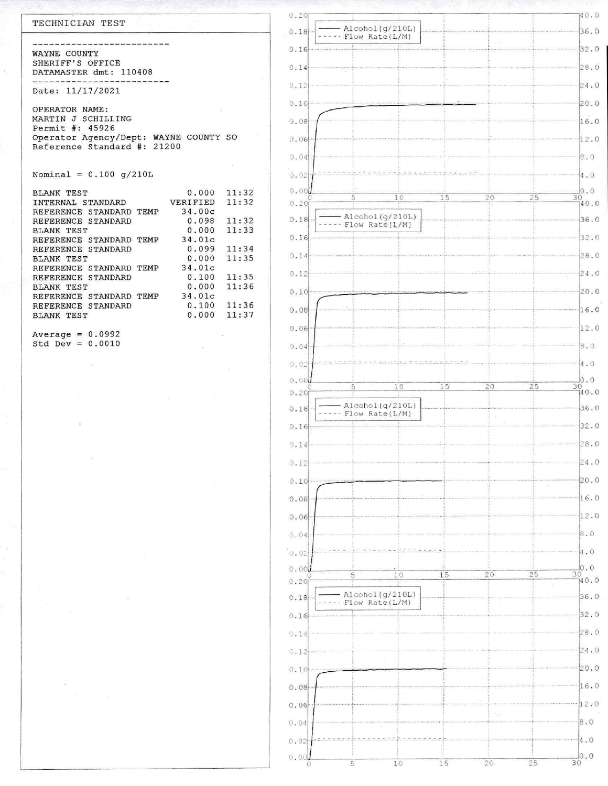| TECHNICIAN TEST                                                         | 0.20           |
|-------------------------------------------------------------------------|----------------|
|                                                                         | 0.18           |
| WAYNE COUNTY                                                            | 0.16           |
| SHERIFF'S OFFICE                                                        | 0.14           |
| DATAMASTER dmt: 110408                                                  |                |
| Date: 11/17/2021                                                        | 0.12           |
| OPERATOR NAME:                                                          | 0.10           |
| MARTIN J SCHILLING                                                      | 0.08           |
| Permit #: 45926                                                         |                |
| Operator Agency/Dept: WAYNE COUNTY SO<br>Reference Standard #:<br>21200 | 0.06           |
|                                                                         | 0.04           |
| Nominal = $0.100$ q/210L                                                | 0.02           |
|                                                                         |                |
| 0.000<br><b>BLANK TEST</b>                                              | 0.000<br>11:32 |
| VERIFIED<br>INTERNAL STANDARD                                           | 11:32<br>0.20  |
| 34.00c<br>REFERENCE STANDARD TEMP                                       |                |
| 0.098<br>REFERENCE STANDARD                                             | 0.18<br>11:32  |
| 0.000<br><b>BLANK TEST</b>                                              | 11:33          |
| 34.01c<br>REFERENCE STANDARD TEMP                                       | 0.16           |
| 0.099<br>REFERENCE STANDARD                                             | 11:34          |
| 0.000<br><b>BLANK TEST</b>                                              | 0.14<br>11:35  |
| 34.01c<br>REFERENCE STANDARD TEMP                                       |                |
| 0.100<br>REFERENCE STANDARD                                             | 0.12<br>11:35  |
| 0.000<br><b>BLANK TEST</b>                                              | 11:36<br>0.10  |
| 34.01c<br>REFERENCE STANDARD TEMP                                       |                |
| 0.100<br>REFERENCE STANDARD                                             | 11:36<br>0.08  |
| 0.000<br><b>BLANK TEST</b>                                              | 11:37          |
| Average = $0.0992$                                                      | 0.06           |
| $0+3$ $D_{222}$ $-$ 0 0010                                              |                |



 $140.0$ 

 $Std Dev = 0.0010$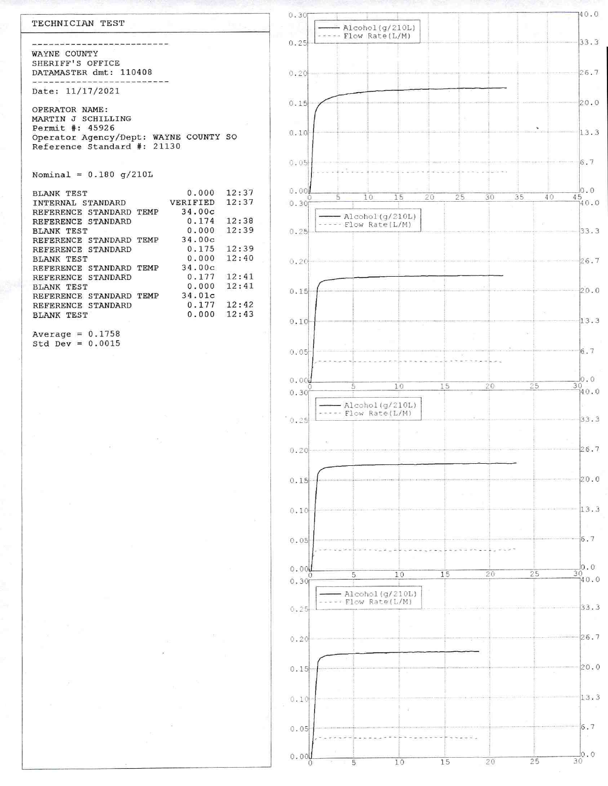| TECHNICIAN TEST                                        |       | 0.301          |
|--------------------------------------------------------|-------|----------------|
|                                                        |       |                |
|                                                        |       | 0.25           |
| WAYNE COUNTY                                           |       |                |
| SHERIFF'S OFFICE                                       |       |                |
| DATAMASTER dmt: 110408                                 |       | 0.20           |
|                                                        |       |                |
| Date: 11/17/2021                                       |       |                |
|                                                        |       | 0.15           |
| OPERATOR NAME:                                         |       |                |
| MARTIN J SCHILLING<br>Permit #: 45926                  |       |                |
| Operator Agency/Dept: WAYNE COUNTY SO                  |       | 0.10           |
| Reference Standard #: 21130                            |       |                |
|                                                        |       |                |
|                                                        |       | 0.05           |
| Nominal = $0.180$ q/210L                               |       |                |
|                                                        |       | 0.00           |
| 0.000<br><b>BLANK TEST</b>                             | 12:37 | 5              |
| VERIFIED<br>INTERNAL STANDARD<br>34.00c                | 12:37 | 0.30f          |
| REFERENCE STANDARD TEMP<br>0.174<br>REFERENCE STANDARD | 12:38 |                |
| 0.000<br><b>BLANK TEST</b>                             | 12:39 | 0.25           |
| 34.00c<br>REFERENCE STANDARD TEMP                      |       |                |
| $0.175$ 12:39<br>REFERENCE STANDARD                    |       |                |
| 0.000<br><b>BLANK TEST</b>                             | 12:40 | 0.20           |
| 34.00c<br>REFERENCE STANDARD TEMP                      |       |                |
| 0.177<br>REFERENCE STANDARD                            | 12:41 |                |
| 0.000<br><b>BLANK TEST</b>                             | 12:41 | 0.15           |
| 34.01c<br>REFERENCE STANDARD TEMP                      |       |                |
| $0.177$ $12:42$<br>REFERENCE STANDARD<br>0.000         | 12:43 |                |
| <b>BLANK TEST</b>                                      |       | 0 <sup>1</sup> |



Average =  $0.1758$ 

Std Dev =  $0.0015$ 

 $\tilde{\Sigma}$